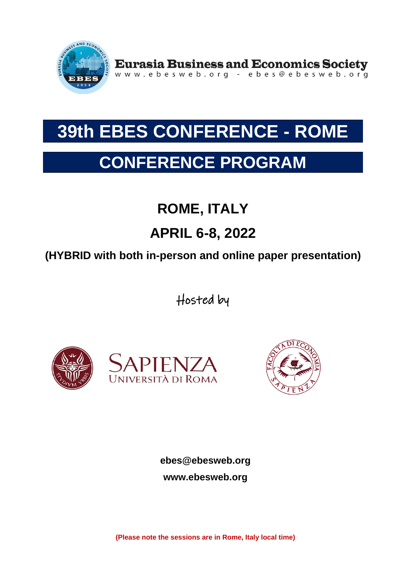

Eurasia Business and Economics Society<br>www.ebesweb.org - ebes@ebesweb.org

# **39th EBES CONFERENCE - ROME**

# **CONFERENCE PROGRAM**

# **ROME, ITALY**

## **APRIL 6-8, 2022**

## **(HYBRID with both in-person and online paper presentation)**

Hosted by





**ebes@ebesweb.org www.ebesweb.org**

**(Please note the sessions are in Rome, Italy local time)**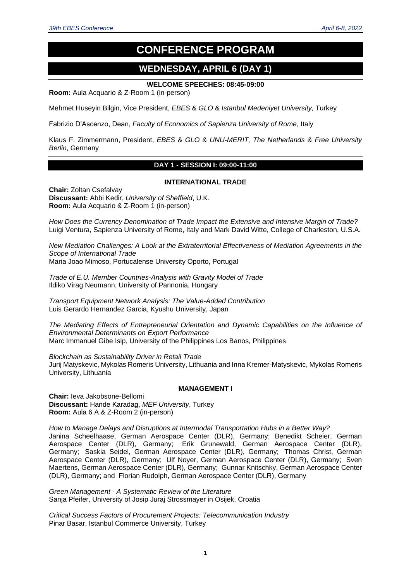### **CONFERENCE PROGRAM**

### **WEDNESDAY, APRIL 6 (DAY 1)**

#### **WELCOME SPEECHES: 08:45-09:00**

**Room:** Aula Acquario & Z-Room 1 (in-person)

Mehmet Huseyin Bilgin, Vice President, *EBES* & *GLO* & *Istanbul Medeniyet University,* Turkey

Fabrizio D'Ascenzo, Dean, *Faculty of Economics of Sapienza University of Rome*, Italy

Klaus F. Zimmermann, President, *EBES* & *GLO* & *UNU-MERIT, The Netherlands* & *Free University Berlin*, Germany

#### **DAY 1 - SESSION I: 09:00-11:00**

#### **INTERNATIONAL TRADE**

**Chair:** Zoltan Csefalvay **Discussant:** Abbi Kedir, *University of Sheffield*, U.K. **Room:** Aula Acquario & Z-Room 1 (in-person)

*How Does the Currency Denomination of Trade Impact the Extensive and Intensive Margin of Trade?* Luigi Ventura, Sapienza University of Rome, Italy and Mark David Witte, College of Charleston, U.S.A.

*New Mediation Challenges: A Look at the Extraterritorial Effectiveness of Mediation Agreements in the Scope of International Trade* Maria Joao Mimoso, Portucalense University Oporto, Portugal

*Trade of E.U. Member Countries-Analysis with Gravity Model of Trade*

Ildiko Virag Neumann, University of Pannonia, Hungary

*Transport Equipment Network Analysis: The Value-Added Contribution* Luis Gerardo Hernandez Garcia, Kyushu University, Japan

*The Mediating Effects of Entrepreneurial Orientation and Dynamic Capabilities on the Influence of Environmental Determinants on Export Performance* Marc Immanuel Gibe Isip, University of the Philippines Los Banos, Philippines

*Blockchain as Sustainability Driver in Retail Trade* Jurij Matyskevic, Mykolas Romeris University, Lithuania and Inna Kremer-Matyskevic, Mykolas Romeris University, Lithuania

#### **MANAGEMENT I**

**Chair:** Ieva Jakobsone-Bellomi **Discussant:** Hande Karadag, *MEF University*, Turkey **Room:** Aula 6 A & Z-Room 2 (in-person)

*How to Manage Delays and Disruptions at Intermodal Transportation Hubs in a Better Way?* Janina Scheelhaase, German Aerospace Center (DLR), Germany; Benedikt Scheier, German Aerospace Center (DLR), Germany; Erik Grunewald, German Aerospace Center (DLR), Germany; Saskia Seidel, German Aerospace Center (DLR), Germany; Thomas Christ, German Aerospace Center (DLR), Germany; Ulf Noyer, German Aerospace Center (DLR), Germany; Sven Maertens, German Aerospace Center (DLR), Germany; Gunnar Knitschky, German Aerospace Center (DLR), Germany; and Florian Rudolph, German Aerospace Center (DLR), Germany

*Green Management - A Systematic Review of the Literature* Sanja Pfeifer, University of Josip Juraj Strossmayer in Osijek, Croatia

*Critical Success Factors of Procurement Projects: Telecommunication Industry*  Pinar Basar, Istanbul Commerce University, Turkey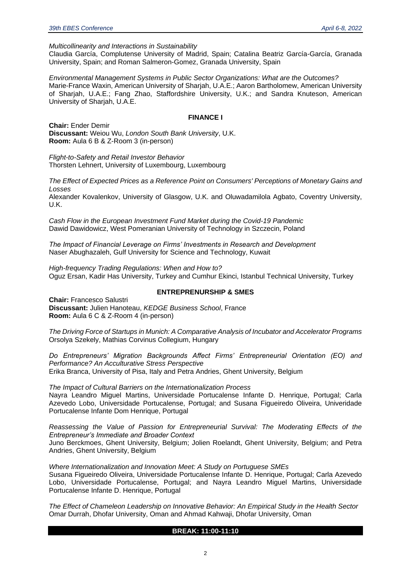*Multicollinearity and Interactions in Sustainability*

Claudia García, Complutense University of Madrid, Spain; Catalina Beatriz García-García, Granada University, Spain; and Roman Salmeron-Gomez, Granada University, Spain

*Environmental Management Systems in Public Sector Organizations: What are the Outcomes?* Marie-France Waxin, American University of Sharjah, U.A.E.; Aaron Bartholomew, American University of Sharjah, U.A.E.; Fang Zhao, Staffordshire University, U.K.; and Sandra Knuteson, American University of Sharjah, U.A.E.

#### **FINANCE I**

**Chair:** Ender Demir **Discussant:** Weiou Wu, *London South Bank University*, U.K. **Room:** Aula 6 B & Z-Room 3 (in-person)

*Flight-to-Safety and Retail Investor Behavior* Thorsten Lehnert, University of Luxembourg, Luxembourg

*The Effect of Expected Prices as a Reference Point on Consumers' Perceptions of Monetary Gains and Losses*

Alexander Kovalenkov, University of Glasgow, U.K. and Oluwadamilola Agbato, Coventry University, U.K.

*Cash Flow in the European Investment Fund Market during the Covid-19 Pandemic* Dawid Dawidowicz, West Pomeranian University of Technology in Szczecin, Poland

*The Impact of Financial Leverage on Firms' Investments in Research and Development* Naser Abughazaleh, Gulf University for Science and Technology, Kuwait

*High-frequency Trading Regulations: When and How to?* Oguz Ersan, Kadir Has University, Turkey and Cumhur Ekinci, Istanbul Technical University, Turkey

#### **ENTREPRENURSHIP & SMES**

**Chair:** Francesco Salustri **Discussant:** Julien Hanoteau, *KEDGE Business School*, France **Room:** Aula 6 C & Z-Room 4 (in-person)

*The Driving Force of Startups in Munich: A Comparative Analysis of Incubator and Accelerator Programs* Orsolya Szekely, Mathias Corvinus Collegium, Hungary

*Do Entrepreneurs' Migration Backgrounds Affect Firms' Entrepreneurial Orientation (EO) and Performance? An Acculturative Stress Perspective* Erika Branca, University of Pisa, Italy and Petra Andries, Ghent University, Belgium

*The Impact of Cultural Barriers on the Internationalization Process* Nayra Leandro Miguel Martins, Universidade Portucalense Infante D. Henrique, Portugal; Carla Azevedo Lobo, Universidade Portucalense, Portugal; and Susana Figueiredo Oliveira, Univeridade Portucalense Infante Dom Henrique, Portugal

*Reassessing the Value of Passion for Entrepreneurial Survival: The Moderating Effects of the Entrepreneur's Immediate and Broader Context*

Juno Berckmoes, Ghent University, Belgium; Jolien Roelandt, Ghent University, Belgium; and Petra Andries, Ghent University, Belgium

*Where Internationalization and Innovation Meet: A Study on Portuguese SMEs*

Susana Figueiredo Oliveira, Universidade Portucalense Infante D. Henrique, Portugal; Carla Azevedo Lobo, Universidade Portucalense, Portugal; and Nayra Leandro Miguel Martins, Universidade Portucalense Infante D. Henrique, Portugal

*The Effect of Chameleon Leadership on Innovative Behavior: An Empirical Study in the Health Sector* Omar Durrah, Dhofar University, Oman and Ahmad Kahwaji, Dhofar University, Oman

#### **BREAK: 11:00-11:10**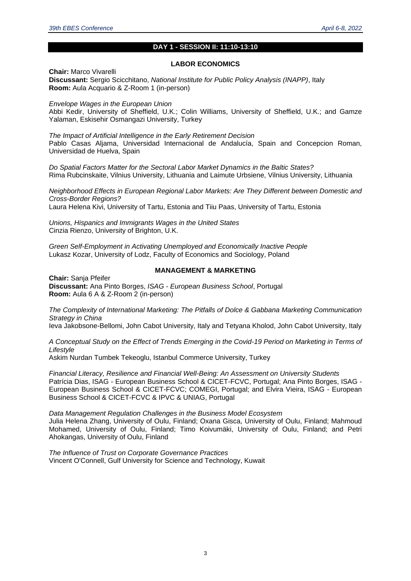#### **DAY 1 - SESSION II: 11:10-13:10**

#### **LABOR ECONOMICS**

**Chair:** Marco Vivarelli **Discussant:** Sergio Scicchitano, *National Institute for Public Policy Analysis (INAPP)*, Italy **Room:** Aula Acquario & Z-Room 1 (in-person)

*Envelope Wages in the European Union*  Abbi Kedir, University of Sheffield, U.K.; Colin Williams, University of Sheffield, U.K.; and Gamze Yalaman, Eskisehir Osmangazi University, Turkey

*The Impact of Artificial Intelligence in the Early Retirement Decision*  Pablo Casas Aljama, Universidad Internacional de Andalucía, Spain and Concepcion Roman, Universidad de Huelva, Spain

*Do Spatial Factors Matter for the Sectoral Labor Market Dynamics in the Baltic States?*  Rima Rubcinskaite, Vilnius University, Lithuania and Laimute Urbsiene, Vilnius University, Lithuania

*Neighborhood Effects in European Regional Labor Markets: Are They Different between Domestic and Cross-Border Regions?*  Laura Helena Kivi, University of Tartu, Estonia and Tiiu Paas, University of Tartu, Estonia

*Unions, Hispanics and Immigrants Wages in the United States*  Cinzia Rienzo, University of Brighton, U.K.

*Green Self-Employment in Activating Unemployed and Economically Inactive People*  Lukasz Kozar, University of Lodz, Faculty of Economics and Sociology, Poland

#### **MANAGEMENT & MARKETING**

**Chair:** Sanja Pfeifer **Discussant:** Ana Pinto Borges, *ISAG - European Business School*, Portugal **Room:** Aula 6 A & Z-Room 2 (in-person)

*The Complexity of International Marketing: The Pitfalls of Dolce & Gabbana Marketing Communication Strategy in China* 

Ieva Jakobsone-Bellomi, John Cabot University, Italy and Tetyana Kholod, John Cabot University, Italy

*A Conceptual Study on the Effect of Trends Emerging in the Covid-19 Period on Marketing in Terms of Lifestyle* 

Askim Nurdan Tumbek Tekeoglu, Istanbul Commerce University, Turkey

*Financial Literacy, Resilience and Financial Well-Being: An Assessment on University Students*  Patrícia Dias, ISAG - European Business School & CICET-FCVC, Portugal; Ana Pinto Borges, ISAG - European Business School & CICET-FCVC; COMEGI, Portugal; and Elvira Vieira, ISAG - European Business School & CICET-FCVC & IPVC & UNIAG, Portugal

*Data Management Regulation Challenges in the Business Model Ecosystem*  Julia Helena Zhang, University of Oulu, Finland; Oxana Gisca, University of Oulu, Finland; Mahmoud Mohamed, University of Oulu, Finland; Timo Koivumäki, University of Oulu, Finland; and Petri Ahokangas, University of Oulu, Finland

*The Influence of Trust on Corporate Governance Practices*  Vincent O'Connell, Gulf University for Science and Technology, Kuwait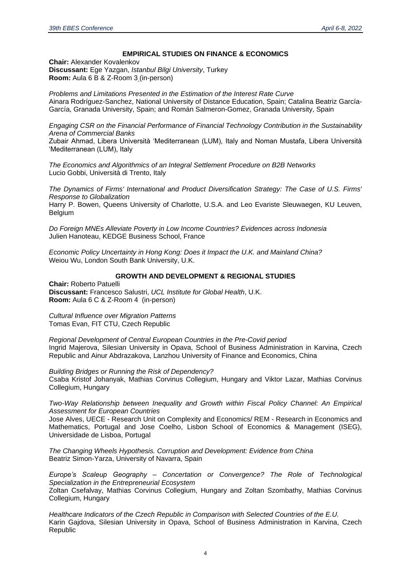#### **EMPIRICAL STUDIES ON FINANCE & ECONOMICS**

**Chair:** Alexander Kovalenkov **Discussant:** Ege Yazgan, *Istanbul Bilgi University*, Turkey **Room:** Aula 6 B & Z-Room 3 (in-person)

*Problems and Limitations Presented in the Estimation of the Interest Rate Curve* Ainara Rodríguez-Sanchez, National University of Distance Education, Spain; Catalina Beatriz García-García, Granada University, Spain; and Román Salmeron-Gomez, Granada University, Spain

*Engaging CSR on the Financial Performance of Financial Technology Contribution in the Sustainability Arena of Commercial Banks*

Zubair Ahmad, Libera Università 'Mediterranean (LUM), Italy and Noman Mustafa, Libera Università 'Mediterranean (LUM), Italy

*The Economics and Algorithmics of an Integral Settlement Procedure on B2B Networks* Lucio Gobbi, Università di Trento, Italy

*The Dynamics of Firms' International and Product Diversification Strategy: The Case of U.S. Firms' Response to Globalization* Harry P. Bowen, Queens University of Charlotte, U.S.A. and Leo Evariste Sleuwaegen, KU Leuven, Belgium

*Do Foreign MNEs Alleviate Poverty in Low Income Countries? Evidences across Indonesia* Julien Hanoteau, KEDGE Business School, France

*Economic Policy Uncertainty in Hong Kong: Does it Impact the U.K. and Mainland China?* Weiou Wu, London South Bank University, U.K.

#### **GROWTH AND DEVELOPMENT & REGIONAL STUDIES**

**Chair:** Roberto Patuelli **Discussant:** Francesco Salustri, *UCL Institute for Global Health*, U.K. **Room:** Aula 6 C & Z-Room 4 (in-person)

*Cultural Influence over Migration Patterns* Tomas Evan, FIT CTU, Czech Republic

*Regional Development of Central European Countries in the Pre-Covid period* Ingrid Majerova, Silesian University in Opava, School of Business Administration in Karvina, Czech Republic and Ainur Abdrazakova, Lanzhou University of Finance and Economics, China

*Building Bridges or Running the Risk of Dependency?* Csaba Kristof Johanyak, Mathias Corvinus Collegium, Hungary and Viktor Lazar, Mathias Corvinus Collegium, Hungary

*Two-Way Relationship between Inequality and Growth within Fiscal Policy Channel: An Empirical Assessment for European Countries*

Jose Alves, UECE - Research Unit on Complexity and Economics/ REM - Research in Economics and Mathematics, Portugal and Jose Coelho, Lisbon School of Economics & Management (ISEG), Universidade de Lisboa, Portugal

*The Changing Wheels Hypothesis. Corruption and Development: Evidence from China* Beatriz Simon-Yarza, University of Navarra, Spain

*Europe's Scaleup Geography – Concertation or Convergence? The Role of Technological Specialization in the Entrepreneurial Ecosystem*

Zoltan Csefalvay, Mathias Corvinus Collegium, Hungary and Zoltan Szombathy, Mathias Corvinus Collegium, Hungary

*Healthcare Indicators of the Czech Republic in Comparison with Selected Countries of the E.U.* Karin Gajdova, Silesian University in Opava, School of Business Administration in Karvina, Czech Republic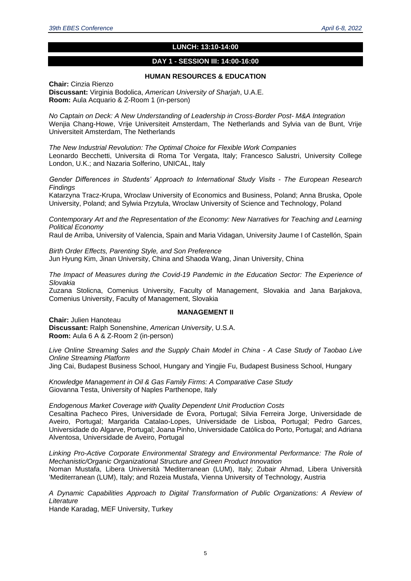#### **LUNCH: 13:10-14:00**

#### **DAY 1 - SESSION III: 14:00-16:00**

#### **HUMAN RESOURCES & EDUCATION**

**Chair:** Cinzia Rienzo **Discussant:** Virginia Bodolica, *American University of Sharjah*, U.A.E. **Room:** Aula Acquario & Z-Room 1 (in-person)

*No Captain on Deck: A New Understanding of Leadership in Cross-Border Post- M&A Integration* Wenjia Chang-Howe, Vrije Universiteit Amsterdam, The Netherlands and Sylvia van de Bunt, Vrije Universiteit Amsterdam, The Netherlands

*The New Industrial Revolution: The Optimal Choice for Flexible Work Companies* Leonardo Becchetti, Universita di Roma Tor Vergata, Italy; Francesco Salustri, University College London, U.K.; and Nazaria Solferino, UNICAL, Italy

*Gender Differences in Students' Approach to International Study Visits - The European Research Findings*

Katarzyna Tracz-Krupa, Wroclaw University of Economics and Business, Poland; Anna Bruska, Opole University, Poland; and Sylwia Przytula, Wroclaw University of Science and Technology, Poland

*Contemporary Art and the Representation of the Economy: New Narratives for Teaching and Learning Political Economy*

Raul de Arriba, University of Valencia, Spain and Maria Vidagan, University Jaume I of Castellón, Spain

*Birth Order Effects, Parenting Style, and Son Preference* Jun Hyung Kim, Jinan University, China and Shaoda Wang, Jinan University, China

*The Impact of Measures during the Covid-19 Pandemic in the Education Sector: The Experience of Slovakia*

Zuzana Stolicna, Comenius University, Faculty of Management, Slovakia and Jana Barjakova, Comenius University, Faculty of Management, Slovakia

#### **MANAGEMENT II**

**Chair:** Julien Hanoteau **Discussant:** Ralph Sonenshine, *American University*, U.S.A. **Room:** Aula 6 A & Z-Room 2 (in-person)

*Live Online Streaming Sales and the Supply Chain Model in China - A Case Study of Taobao Live Online Streaming Platform*

Jing Cai, Budapest Business School, Hungary and Yingjie Fu, Budapest Business School, Hungary

*Knowledge Management in Oil & Gas Family Firms: A Comparative Case Study* Giovanna Testa, University of Naples Parthenope, Italy

*Endogenous Market Coverage with Quality Dependent Unit Production Costs*

Cesaltina Pacheco Pires, Universidade de Évora, Portugal; Silvia Ferreira Jorge, Universidade de Aveiro, Portugal; Margarida Catalao-Lopes, Universidade de Lisboa, Portugal; Pedro Garces, Universidade do Algarve, Portugal; Joana Pinho, Universidade Católica do Porto, Portugal; and Adriana Alventosa, Universidade de Aveiro, Portugal

*Linking Pro-Active Corporate Environmental Strategy and Environmental Performance: The Role of Mechanistic/Organic Organizational Structure and Green Product Innovation* Noman Mustafa, Libera Università 'Mediterranean (LUM), Italy; Zubair Ahmad, Libera Università 'Mediterranean (LUM), Italy; and Rozeia Mustafa, Vienna University of Technology, Austria

*A Dynamic Capabilities Approach to Digital Transformation of Public Organizations: A Review of Literature*

Hande Karadag, MEF University, Turkey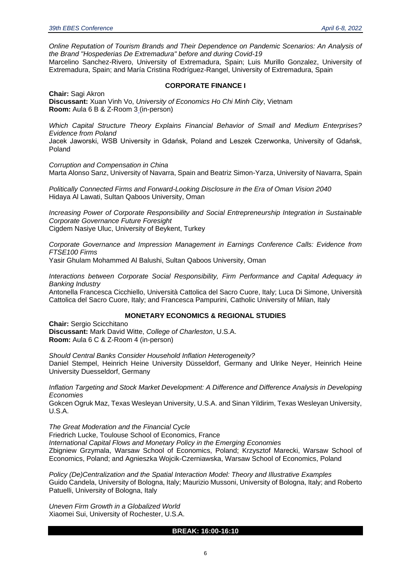*Online Reputation of Tourism Brands and Their Dependence on Pandemic Scenarios: An Analysis of the Brand "Hospederias De Extremadura" before and during Covid-19* Marcelino Sanchez-Rivero, University of Extremadura, Spain; Luis Murillo Gonzalez, University of

Extremadura, Spain; and María Cristina Rodríguez-Rangel, University of Extremadura, Spain

#### **CORPORATE FINANCE I**

**Chair:** Sagi Akron **Discussant:** Xuan Vinh Vo, *University of Economics Ho Chi Minh City*, Vietnam **Room:** Aula 6 B & Z-Room 3 (in-person)

*Which Capital Structure Theory Explains Financial Behavior of Small and Medium Enterprises? Evidence from Poland*

Jacek Jaworski, WSB University in Gdańsk, Poland and Leszek Czerwonka, University of Gdańsk, Poland

*Corruption and Compensation in China* Marta Alonso Sanz, University of Navarra, Spain and Beatriz Simon-Yarza, University of Navarra, Spain

*Politically Connected Firms and Forward-Looking Disclosure in the Era of Oman Vision 2040* Hidaya Al Lawati, Sultan Qaboos University, Oman

*Increasing Power of Corporate Responsibility and Social Entrepreneurship Integration in Sustainable Corporate Governance Future Foresight* Cigdem Nasiye Uluc, University of Beykent, Turkey

*Corporate Governance and Impression Management in Earnings Conference Calls: Evidence from FTSE100 Firms*

Yasir Ghulam Mohammed Al Balushi, Sultan Qaboos University, Oman

*Interactions between Corporate Social Responsibility, Firm Performance and Capital Adequacy in Banking Industry*

Antonella Francesca Cicchiello, Università Cattolica del Sacro Cuore, Italy; Luca Di Simone, Università Cattolica del Sacro Cuore, Italy; and Francesca Pampurini, Catholic University of Milan, Italy

#### **MONETARY ECONOMICS & REGIONAL STUDIES**

**Chair:** Sergio Scicchitano **Discussant:** Mark David Witte, *College of Charleston*, U.S.A. **Room:** Aula 6 C & Z-Room 4 (in-person)

*Should Central Banks Consider Household Inflation Heterogeneity?* Daniel Stempel, Heinrich Heine University Düsseldorf, Germany and Ulrike Neyer, Heinrich Heine University Duesseldorf, Germany

*Inflation Targeting and Stock Market Development: A Difference and Difference Analysis in Developing Economies*

Gokcen Ogruk Maz, Texas Wesleyan University, U.S.A. and Sinan Yildirim, Texas Wesleyan University, U.S.A.

*The Great Moderation and the Financial Cycle* Friedrich Lucke, Toulouse School of Economics, France *International Capital Flows and Monetary Policy in the Emerging Economies* Zbigniew Grzymala, Warsaw School of Economics, Poland; Krzysztof Marecki, Warsaw School of Economics, Poland; and Agnieszka Wojcik-Czerniawska, Warsaw School of Economics, Poland

*Policy (De)Centralization and the Spatial Interaction Model: Theory and Illustrative Examples* Guido Candela, University of Bologna, Italy; Maurizio Mussoni, University of Bologna, Italy; and Roberto Patuelli, University of Bologna, Italy

*Uneven Firm Growth in a Globalized World* Xiaomei Sui, University of Rochester, U.S.A.

#### **BREAK: 16:00-16:10**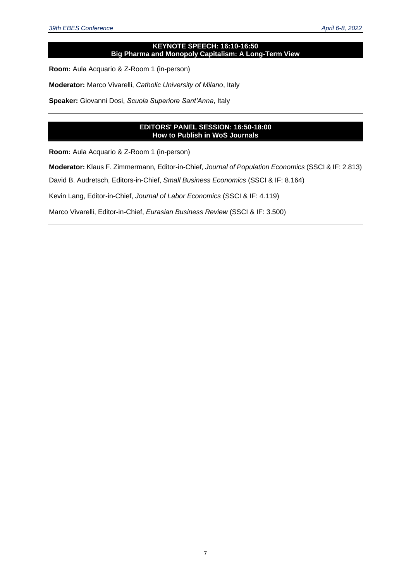#### **KEYNOTE SPEECH: 16:10-16:50 Big Pharma and Monopoly Capitalism: A Long-Term View**

**Room:** Aula Acquario & Z-Room 1 (in-person)

**Moderator:** Marco Vivarelli, *Catholic University of Milano*, Italy

**Speaker:** Giovanni Dosi, *Scuola Superiore Sant'Anna*, Italy

#### **EDITORS' PANEL SESSION: 16:50-18:00 How to Publish in WoS Journals**

**Room:** Aula Acquario & Z-Room 1 (in-person)

**Moderator:** Klaus F. Zimmermann*,* Editor-in-Chief*, Journal of Population Economics* (SSCI & IF: 2.813)

David B. Audretsch, Editors-in-Chief, *Small Business Economics* (SSCI & IF: 8.164)

Kevin Lang, Editor-in-Chief, *Journal of Labor Economics* (SSCI & IF: 4.119)

Marco Vivarelli, Editor-in-Chief, *Eurasian Business Review* (SSCI & IF: 3.500)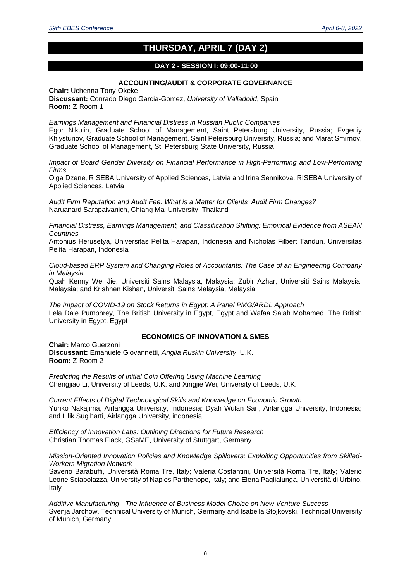### **THURSDAY, APRIL 7 (DAY 2)**

#### **DAY 2 - SESSION I: 09:00-11:00**

#### **ACCOUNTING/AUDIT & CORPORATE GOVERNANCE**

**Chair:** Uchenna Tony-Okeke **Discussant:** Conrado Diego Garcia-Gomez, *University of Valladolid*, Spain **Room:** Z-Room 1

*Earnings Management and Financial Distress in Russian Public Companies* Egor Nikulin, Graduate School of Management, Saint Petersburg University, Russia; Evgeniy Khlystunov, Graduate School of Management, Saint Petersburg University, Russia; and Marat Smirnov, Graduate School of Management, St. Petersburg State University, Russia

*Impact of Board Gender Diversity on Financial Performance in High-Performing and Low-Performing Firms*

Olga Dzene, RISEBA University of Applied Sciences, Latvia and Irina Sennikova, RISEBA University of Applied Sciences, Latvia

*Audit Firm Reputation and Audit Fee: What is a Matter for Clients' Audit Firm Changes?* Naruanard Sarapaivanich, Chiang Mai University, Thailand

*Financial Distress, Earnings Management, and Classification Shifting: Empirical Evidence from ASEAN Countries*

Antonius Herusetya, Universitas Pelita Harapan, Indonesia and Nicholas Filbert Tandun, Universitas Pelita Harapan, Indonesia

*Cloud-based ERP System and Changing Roles of Accountants: The Case of an Engineering Company in Malaysia*

Quah Kenny Wei Jie, Universiti Sains Malaysia, Malaysia; Zubir Azhar, Universiti Sains Malaysia, Malaysia; and Krishnen Kishan, Universiti Sains Malaysia, Malaysia

*The Impact of COVID-19 on Stock Returns in Egypt: A Panel PMG/ARDL Approach* Lela Dale Pumphrey, The British University in Egypt, Egypt and Wafaa Salah Mohamed, The British University in Egypt, Egypt

#### **ECONOMICS OF INNOVATION & SMES**

**Chair:** Marco Guerzoni **Discussant:** Emanuele Giovannetti, *Anglia Ruskin University*, U.K. **Room:** Z-Room 2

*Predicting the Results of Initial Coin Offering Using Machine Learning* Chengjiao Li, University of Leeds, U.K. and Xingjie Wei, University of Leeds, U.K.

*Current Effects of Digital Technological Skills and Knowledge on Economic Growth* Yuriko Nakajima, Airlangga University, Indonesia; Dyah Wulan Sari, Airlangga University, Indonesia; and Lilik Sugiharti, Airlangga University, indonesia

*Efficiency of Innovation Labs: Outlining Directions for Future Research* Christian Thomas Flack, GSaME, University of Stuttgart, Germany

#### *Mission-Oriented Innovation Policies and Knowledge Spillovers: Exploiting Opportunities from Skilled-Workers Migration Network*

Saverio Barabuffi, Università Roma Tre, Italy; Valeria Costantini, Università Roma Tre, Italy; Valerio Leone Sciabolazza, University of Naples Parthenope, Italy; and Elena Paglialunga, Università di Urbino, Italy

*Additive Manufacturing - The Influence of Business Model Choice on New Venture Success* Svenja Jarchow, Technical University of Munich, Germany and Isabella Stojkovski, Technical University of Munich, Germany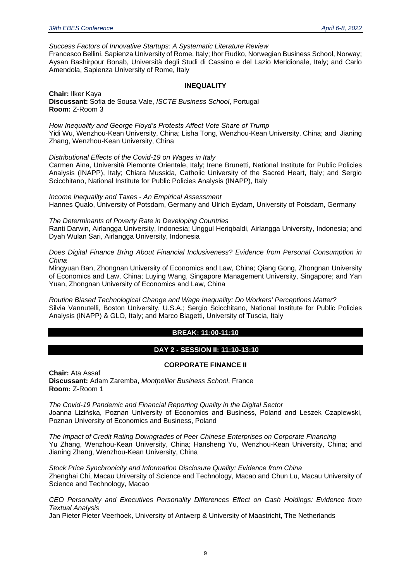#### *Success Factors of Innovative Startups: A Systematic Literature Review*

Francesco Bellini, Sapienza University of Rome, Italy; Ihor Rudko, Norwegian Business School, Norway; Aysan Bashirpour Bonab, Università degli Studi di Cassino e del Lazio Meridionale, Italy; and Carlo Amendola, Sapienza University of Rome, Italy

#### **INEQUALITY**

**Chair:** Ilker Kaya **Discussant:** Sofia de Sousa Vale, *ISCTE Business School*, Portugal **Room:** Z-Room 3

*How Inequality and George Floyd's Protests Affect Vote Share of Trump* Yidi Wu, Wenzhou-Kean University, China; Lisha Tong, Wenzhou-Kean University, China; and Jianing Zhang, Wenzhou-Kean University, China

*Distributional Effects of the Covid-19 on Wages in Italy*

Carmen Aina, Università Piemonte Orientale, Italy; Irene Brunetti, National Institute for Public Policies Analysis (INAPP), Italy; Chiara Mussida, Catholic University of the Sacred Heart, Italy; and Sergio Scicchitano, National Institute for Public Policies Analysis (INAPP), Italy

*Income Inequality and Taxes - An Empirical Assessment* Hannes Qualo, University of Potsdam, Germany and Ulrich Eydam, University of Potsdam, Germany

*The Determinants of Poverty Rate in Developing Countries*

Ranti Darwin, Airlangga University, Indonesia; Unggul Heriqbaldi, Airlangga University, Indonesia; and Dyah Wulan Sari, Airlangga University, Indonesia

*Does Digital Finance Bring About Financial Inclusiveness? Evidence from Personal Consumption in China*

Mingyuan Ban, Zhongnan University of Economics and Law, China; Qiang Gong, Zhongnan University of Economics and Law, China; Luying Wang, Singapore Management University, Singapore; and Yan Yuan, Zhongnan University of Economics and Law, China

*Routine Biased Technological Change and Wage Inequality: Do Workers' Perceptions Matter?* Silvia Vannutelli, Boston University, U.S.A.; Sergio Scicchitano, National Institute for Public Policies Analysis (INAPP) & GLO, Italy; and Marco Biagetti, University of Tuscia, Italy

#### **BREAK: 11:00-11:10**

#### **DAY 2 - SESSION II: 11:10-13:10**

#### **CORPORATE FINANCE II**

**Chair:** Ata Assaf **Discussant:** Adam Zaremba, *Montpellier Business School*, France **Room:** Z-Room 1

*The Covid-19 Pandemic and Financial Reporting Quality in the Digital Sector* Joanna Lizińska, Poznan University of Economics and Business, Poland and Leszek Czapiewski, Poznan University of Economics and Business, Poland

*The Impact of Credit Rating Downgrades of Peer Chinese Enterprises on Corporate Financing* Yu Zhang, Wenzhou-Kean University, China; Hansheng Yu, Wenzhou-Kean University, China; and Jianing Zhang, Wenzhou-Kean University, China

*Stock Price Synchronicity and Information Disclosure Quality: Evidence from China* Zhenghai Chi, Macau University of Science and Technology, Macao and Chun Lu, Macau University of Science and Technology, Macao

*CEO Personality and Executives Personality Differences Effect on Cash Holdings: Evidence from Textual Analysis*

Jan Pieter Pieter Veerhoek, University of Antwerp & University of Maastricht, The Netherlands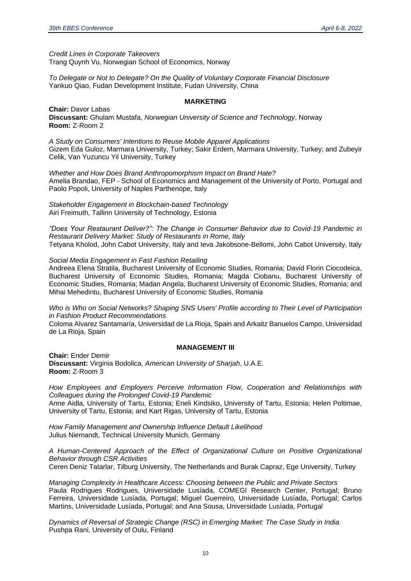*Credit Lines in Corporate Takeovers* Trang Quynh Vu, Norwegian School of Economics, Norway

*To Delegate or Not to Delegate? On the Quality of Voluntary Corporate Financial Disclosure* Yankuo Qiao, Fudan Development Institute, Fudan University, China

#### **MARKETING**

**Chair:** Davor Labas **Discussant:** Ghulam Mustafa, *Norwegian University of Science and Technology*, Norway **Room:** Z-Room 2

*A Study on Consumers' Intentions to Reuse Mobile Apparel Applications* Gizem Eda Guloz, Marmara University, Turkey; Sakir Erdem, Marmara University, Turkey; and Zubeyir Celik, Van Yuzuncu Yil University, Turkey

*Whether and How Does Brand Anthropomorphism Impact on Brand Hate?* Amelia Brandao, FEP - School of Economics and Management of the University of Porto, Portugal and Paolo Popoli, University of Naples Parthenope, Italy

*Stakeholder Engagement in Blockchain-based Technology* Airi Freimuth, Tallinn University of Technology, Estonia

*"Does Your Restaurant Deliver?": The Change in Consumer Behavior due to Covid-19 Pandemic in Restaurant Delivery Market: Study of Restaurants in Rome, Italy* Tetyana Kholod, John Cabot University, Italy and Ieva Jakobsone-Bellomi, John Cabot University, Italy

*Social Media Engagement in Fast Fashion Retailing*

Andreea Elena Stratila, Bucharest University of Economic Studies, Romania; David Florin Ciocodeica, Bucharest University of Economic Studies, Romania; Magda Ciobanu, Bucharest University of Economic Studies, Romania; Madan Angela, Bucharest University of Economic Studies, Romania; and Mihai Mehedintu, Bucharest University of Economic Studies, Romania

*Who is Who on Social Networks? Shaping SNS Users' Profile according to Their Level of Participation in Fashion Product Recommendations*

Coloma Alvarez Santamaría, Universidad de La Rioja, Spain and Arkaitz Banuelos Campo, Universidad de La Rioja, Spain

#### **MANAGEMENT III**

**Chair:** Ender Demir **Discussant:** Virginia Bodolica, *American University of Sharjah*, U.A.E. **Room:** Z-Room 3

*How Employees and Employers Perceive Information Flow, Cooperation and Relationships with Colleagues during the Prolonged Covid-19 Pandemic*

Anne Aidla, University of Tartu, Estonia; Eneli Kindsiko, University of Tartu, Estonia; Helen Poltimae, University of Tartu, Estonia; and Kart Rigas, University of Tartu, Estonia

*How Family Management and Ownership Influence Default Likelihood* Julius Niemandt, Technical University Munich, Germany

*A Human-Centered Approach of the Effect of Organizational Culture on Positive Organizational Behavior through CSR Activities* 

Ceren Deniz Tatarlar, Tilburg University, The Netherlands and Burak Capraz, Ege University, Turkey

*Managing Complexity in Healthcare Access: Choosing between the Public and Private Sectors* Paula Rodrigues Rodrigues, Universidade Lusíada, COMEGI Research Center, Portugal; Bruno Ferreira, Universidade Lusíada, Portugal; Miguel Guerreiro, Universidade Lusíada, Portugal; Carlos Martins, Universidade Lusíada, Portugal; and Ana Sousa, Universidade Lusíada, Portugal

*Dynamics of Reversal of Strategic Change (RSC) in Emerging Market: The Case Study in India* Pushpa Rani, University of Oulu, Finland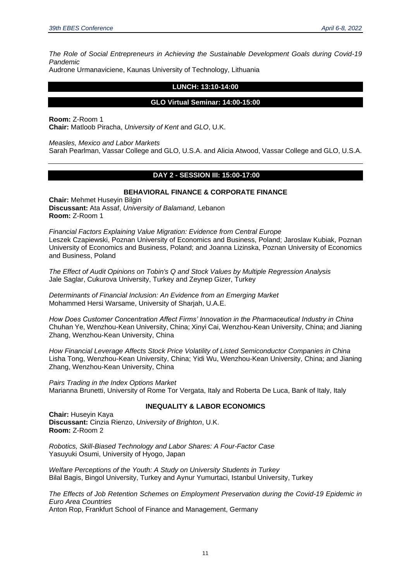*The Role of Social Entrepreneurs in Achieving the Sustainable Development Goals during Covid-19 Pandemic*

Audrone Urmanaviciene, Kaunas University of Technology, Lithuania

#### **LUNCH: 13:10-14:00**

#### **GLO Virtual Seminar: 14:00-15:00**

**Room:** Z-Room 1 **Chair:** Matloob Piracha, *University of Kent* and *GLO*, U.K.

*Measles, Mexico and Labor Markets*

Sarah Pearlman, Vassar College and GLO, U.S.A. and Alicia Atwood, Vassar College and GLO, U.S.A.

#### **DAY 2 - SESSION III: 15:00-17:00**

#### **BEHAVIORAL FINANCE & CORPORATE FINANCE**

**Chair:** Mehmet Huseyin Bilgin **Discussant:** Ata Assaf, *University of Balamand*, Lebanon **Room:** Z-Room 1

*Financial Factors Explaining Value Migration: Evidence from Central Europe*  Leszek Czapiewski, Poznan University of Economics and Business, Poland; Jaroslaw Kubiak, Poznan University of Economics and Business, Poland; and Joanna Lizinska, Poznan University of Economics and Business, Poland

*The Effect of Audit Opinions on Tobin's Q and Stock Values by Multiple Regression Analysis* Jale Saglar, Cukurova University, Turkey and Zeynep Gizer, Turkey

*Determinants of Financial Inclusion: An Evidence from an Emerging Market* Mohammed Hersi Warsame, University of Sharjah, U.A.E.

*How Does Customer Concentration Affect Firms' Innovation in the Pharmaceutical Industry in China* Chuhan Ye, Wenzhou-Kean University, China; Xinyi Cai, Wenzhou-Kean University, China; and Jianing Zhang, Wenzhou-Kean University, China

*How Financial Leverage Affects Stock Price Volatility of Listed Semiconductor Companies in China* Lisha Tong, Wenzhou-Kean University, China; Yidi Wu, Wenzhou-Kean University, China; and Jianing Zhang, Wenzhou-Kean University, China

*Pairs Trading in the Index Options Market* Marianna Brunetti, University of Rome Tor Vergata, Italy and Roberta De Luca, Bank of Italy, Italy

#### **INEQUALITY & LABOR ECONOMICS**

**Chair:** Huseyin Kaya **Discussant:** Cinzia Rienzo, *University of Brighton*, U.K. **Room:** Z-Room 2

*Robotics, Skill-Biased Technology and Labor Shares: A Four-Factor Case* Yasuyuki Osumi, University of Hyogo, Japan

*Welfare Perceptions of the Youth: A Study on University Students in Turkey* Bilal Bagis, Bingol University, Turkey and Aynur Yumurtaci, Istanbul University, Turkey

*The Effects of Job Retention Schemes on Employment Preservation during the Covid-19 Epidemic in Euro Area Countries*

Anton Rop, Frankfurt School of Finance and Management, Germany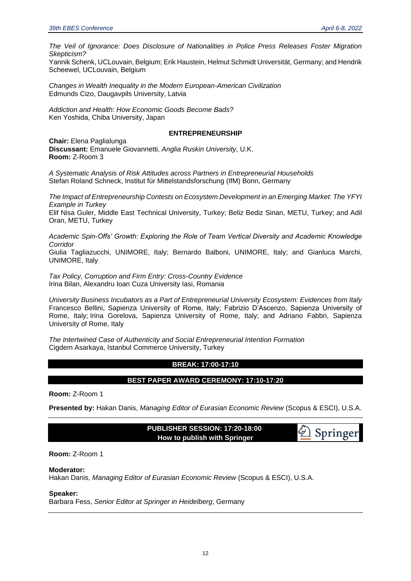*The Veil of Ignorance: Does Disclosure of Nationalities in Police Press Releases Foster Migration Skepticism?*

Yannik Schenk, UCLouvain, Belgium; Erik Haustein, Helmut Schmidt Universität, Germany; and Hendrik Scheewel, UCLouvain, Belgium

*Changes in Wealth Inequality in the Modern European-American Civilization* Edmunds Cizo, Daugavpils University, Latvia

*Addiction and Health: How Economic Goods Become Bads?* Ken Yoshida, Chiba University, Japan

#### **ENTREPRENEURSHIP**

**Chair:** Elena Paglialunga **Discussant:** Emanuele Giovannetti, *Anglia Ruskin University*, U.K. **Room:** Z-Room 3

*A Systematic Analysis of Risk Attitudes across Partners in Entrepreneurial Households* Stefan Roland Schneck, Institut für Mittelstandsforschung (IfM) Bonn, Germany

*The Impact of Entrepreneurship Contests on Ecosystem Development in an Emerging Market: The YFYI Example in Turkey* Elif Nisa Guler, Middle East Technical University, Turkey; Beliz Bediz Sinan, METU, Turkey; and Adil Oran, METU, Turkey

*Academic Spin-Offs' Growth: Exploring the Role of Team Vertical Diversity and Academic Knowledge Corridor* Giulia Tagliazucchi, UNIMORE, Italy; Bernardo Balboni, UNIMORE, Italy; and Gianluca Marchi, UNIMORE, Italy

*Tax Policy, Corruption and Firm Entry: Cross-Country Evidence* Irina Bilan, Alexandru Ioan Cuza University Iasi, Romania

*University Business Incubators as a Part of Entrepreneurial University Ecosystem: Evidences from Italy* Francesco Bellini, Sapienza University of Rome, Italy; Fabrizio D'Ascenzo, Sapienza University of Rome, Italy; Irina Gorelova, Sapienza University of Rome, Italy; and Adriano Fabbri, Sapienza University of Rome, Italy

*The Intertwined Case of Authenticity and Social Entrepreneurial Intention Formation* Cigdem Asarkaya, Istanbul Commerce University, Turkey

#### **BREAK: 17:00-17:10**

#### **BEST PAPER AWARD CEREMONY: 17:10-17:20**

**Room:** Z-Room 1

**Presented by:** Hakan Danis, *Managing Editor of Eurasian Economic Review* (Scopus & ESCI), U.S.A.

 **PUBLISHER SESSION: 17:20-18:00 How to publish with Springer**



#### **Room:** Z-Room 1

**Moderator:** 

Hakan Danis, *Managing Editor of Eurasian Economic Review* (Scopus & ESCI), U.S.A.

#### **Speaker:**

Barbara Fess, *Senior Editor at Springer in Heidelberg*, Germany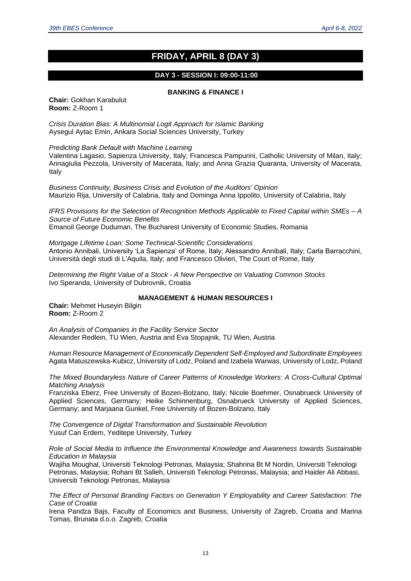### **FRIDAY, APRIL 8 (DAY 3)**

#### **DAY 3 - SESSION I: 09:00-11:00**

#### **BANKING & FINANCE I**

**Chair:** Gokhan Karabulut **Room:** Z-Room 1

*Crisis Duration Bias: A Multinomial Logit Approach for Islamic Banking* Aysegul Aytac Emin, Ankara Social Sciences University, Turkey

*Predicting Bank Default with Machine Learning*

Valentina Lagasio, Sapienza University, Italy; Francesca Pampurini, Catholic University of Milan, Italy; Annagiulia Pezzola, University of Macerata, Italy; and Anna Grazia Quaranta, University of Macerata, Italy

*Business Continuity, Business Crisis and Evolution of the Auditors' Opinion* Maurizio Rija, University of Calabria, Italy and Dominga Anna Ippolito, University of Calabria, Italy

*IFRS Provisions for the Selection of Recognition Methods Applicable to Fixed Capital within SMEs – A Source of Future Economic Benefits* Emanoil George Duduman, The Bucharest University of Economic Studies, Romania

*Mortgage Lifetime Loan: Some Technical-Scientific Considerations* Antonio Annibali, University 'La Sapienza' of Rome, Italy; Alessandro Annibali, Italy; Carla Barracchini, Università degli studi di L'Aquila, Italy; and Francesco Olivieri, The Court of Rome, Italy

*Determining the Right Value of a Stock - A New Perspective on Valuating Common Stocks* Ivo Speranda, University of Dubrovnik, Croatia

#### **MANAGEMENT & HUMAN RESOURCES I**

**Chair:** Mehmet Huseyin Bilgin **Room:** Z-Room 2

*An Analysis of Companies in the Facility Service Sector* Alexander Redlein, TU Wien, Austria and Eva Stopajnik, TU Wien, Austria

*Human Resource Management of Economically Dependent Self-Employed and Subordinate Employees* Agata Matuszewska-Kubicz, University of Lodz, Poland and Izabela Warwas, University of Lodz, Poland

*The Mixed Boundaryless Nature of Career Patterns of Knowledge Workers: A Cross-Cultural Optimal Matching Analysis*

Franziska Eberz, Free University of Bozen-Bolzano, Italy; Nicole Boehmer, Osnabrueck University of Applied Sciences, Germany; Heike Schinnenburg, Osnabrueck University of Applied Sciences, Germany; and Marjaana Gunkel, Free University of Bozen-Bolzano, Italy

*The Convergence of Digital Transformation and Sustainable Revolution* Yusuf Can Erdem, Yeditepe University, Turkey

*Role of Social Media to Influence the Environmental Knowledge and Awareness towards Sustainable Education in Malaysia*

Wajiha Moughal, Universiti Teknologi Petronas, Malaysia; Shahrina Bt M Nordin, Universiti Teknologi Petronas, Malaysia; Rohani Bt Salleh, Universiti Teknologi Petronas, Malaysia; and Haider Ali Abbasi, Universiti Teknologi Petronas, Malaysia

*The Effect of Personal Branding Factors on Generation Y Employability and Career Satisfaction: The Case of Croatia*

Irena Pandza Bajs, Faculty of Economics and Business, University of Zagreb, Croatia and Marina Tomas, Brunata d.o.o. Zagreb, Croatia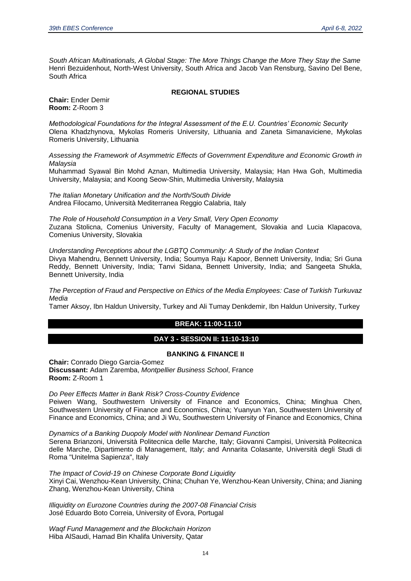*South African Multinationals, A Global Stage: The More Things Change the More They Stay the Same* Henri Bezuidenhout, North-West University, South Africa and Jacob Van Rensburg, Savino Del Bene, South Africa

#### **REGIONAL STUDIES**

**Chair:** Ender Demir **Room:** Z-Room 3

*Methodological Foundations for the Integral Assessment of the E.U. Countries' Economic Security* Olena Khadzhynova, Mykolas Romeris University, Lithuania and Zaneta Simanaviciene, Mykolas Romeris University, Lithuania

*Assessing the Framework of Asymmetric Effects of Government Expenditure and Economic Growth in Malaysia*

Muhammad Syawal Bin Mohd Aznan, Multimedia University, Malaysia; Han Hwa Goh, Multimedia University, Malaysia; and Koong Seow-Shin, Multimedia University, Malaysia

*The Italian Monetary Unification and the North/South Divide* Andrea Filocamo, Università Mediterranea Reggio Calabria, Italy

*The Role of Household Consumption in a Very Small, Very Open Economy* Zuzana Stolicna, Comenius University, Faculty of Management, Slovakia and Lucia Klapacova, Comenius University, Slovakia

*Understanding Perceptions about the LGBTQ Community: A Study of the Indian Context* Divya Mahendru, Bennett University, India; Soumya Raju Kapoor, Bennett University, India; Sri Guna Reddy, Bennett University, India; Tanvi Sidana, Bennett University, India; and Sangeeta Shukla, Bennett University, India

*The Perception of Fraud and Perspective on Ethics of the Media Employees: Case of Turkish Turkuvaz Media*

Tamer Aksoy, Ibn Haldun University, Turkey and Ali Tumay Denkdemir, Ibn Haldun University, Turkey

#### **BREAK: 11:00-11:10**

#### **DAY 3 - SESSION II: 11:10-13:10**

#### **BANKING & FINANCE II**

**Chair:** Conrado Diego Garcia-Gomez **Discussant:** Adam Zaremba, *Montpellier Business School*, France **Room:** Z-Room 1

*Do Peer Effects Matter in Bank Risk? Cross-Country Evidence* Peiwen Wang, Southwestern University of Finance and Economics, China; Minghua Chen,

Southwestern University of Finance and Economics, China; Yuanyun Yan, Southwestern University of Finance and Economics, China; and Ji Wu, Southwestern University of Finance and Economics, China

*Dynamics of a Banking Duopoly Model with Nonlinear Demand Function*

Serena Brianzoni, Università Politecnica delle Marche, Italy; Giovanni Campisi, Università Politecnica delle Marche, Dipartimento di Management, Italy; and Annarita Colasante, Università degli Studi di Roma "Unitelma Sapienza", Italy

*The Impact of Covid-19 on Chinese Corporate Bond Liquidity* Xinyi Cai, Wenzhou-Kean University, China; Chuhan Ye, Wenzhou-Kean University, China; and Jianing Zhang, Wenzhou-Kean University, China

*Illiquidity on Eurozone Countries during the 2007-08 Financial Crisis* José Eduardo Boto Correia, University of Évora, Portugal

*Waqf Fund Management and the Blockchain Horizon* Hiba AlSaudi, Hamad Bin Khalifa University, Qatar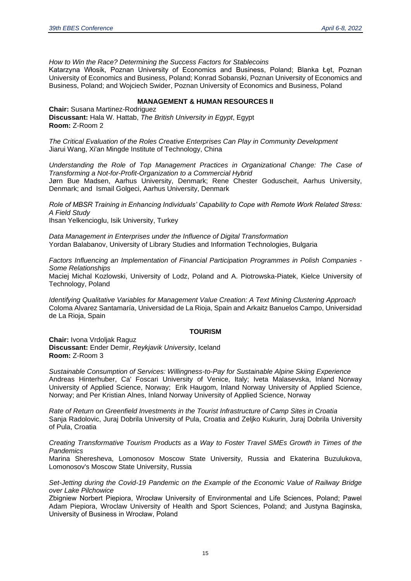*How to Win the Race? Determining the Success Factors for Stablecoins*

Katarzyna Włosik, Poznan University of Economics and Business, Poland; Blanka Łęt, Poznan University of Economics and Business, Poland; Konrad Sobanski, Poznan University of Economics and Business, Poland; and Wojciech Swider, Poznan University of Economics and Business, Poland

#### **MANAGEMENT & HUMAN RESOURCES II**

**Chair:** Susana Martinez-Rodriguez **Discussant:** Hala W. Hattab, *The British University in Egypt*, Egypt **Room:** Z-Room 2

*The Critical Evaluation of the Roles Creative Enterprises Can Play in Community Development* Jiarui Wang, Xi'an Mingde Institute of Technology, China

*Understanding the Role of Top Management Practices in Organizational Change: The Case of Transforming a Not-for-Profit-Organization to a Commercial Hybrid* Jørn Bue Madsen, Aarhus University, Denmark; Rene Chester Goduscheit, Aarhus University, Denmark; and Ismail Golgeci, Aarhus University, Denmark

*Role of MBSR Training in Enhancing Individuals' Capability to Cope with Remote Work Related Stress: A Field Study*

Ihsan Yelkencioglu, Isik University, Turkey

*Data Management in Enterprises under the Influence of Digital Transformation* Yordan Balabanov, University of Library Studies and Information Technologies, Bulgaria

*Factors Influencing an Implementation of Financial Participation Programmes in Polish Companies - Some Relationships* Maciej Michal Kozlowski, University of Lodz, Poland and A. Piotrowska-Piatek, Kielce University of Technology, Poland

*Identifying Qualitative Variables for Management Value Creation: A Text Mining Clustering Approach* Coloma Alvarez Santamaría, Universidad de La Rioja, Spain and Arkaitz Banuelos Campo, Universidad de La Rioja, Spain

#### **TOURISM**

**Chair:** Ivona Vrdoljak Raguz **Discussant:** Ender Demir, *Reykjavik University*, Iceland **Room:** Z-Room 3

*Sustainable Consumption of Services: Willingness-to-Pay for Sustainable Alpine Skiing Experience* Andreas Hinterhuber, Ca' Foscari University of Venice, Italy; Iveta Malasevska, Inland Norway University of Applied Science, Norway; Erik Haugom, Inland Norway University of Applied Science, Norway; and Per Kristian Alnes, Inland Norway University of Applied Science, Norway

*Rate of Return on Greenfield Investments in the Tourist Infrastructure of Camp Sites in Croatia* Sanja Radolovic, Juraj Dobrila University of Pula, Croatia and Zeljko Kukurin, Juraj Dobrila University of Pula, Croatia

*Creating Transformative Tourism Products as a Way to Foster Travel SMEs Growth in Times of the Pandemics*

Marina Sheresheva, Lomonosov Moscow State University, Russia and Ekaterina Buzulukova, Lomonosov's Moscow State University, Russia

*Set-Jetting during the Covid-19 Pandemic on the Example of the Economic Value of Railway Bridge over Lake Pilchowice*

Zbigniew Norbert Piepiora, Wrocław University of Environmental and Life Sciences, Poland; Pawel Adam Piepiora, Wroclaw University of Health and Sport Sciences, Poland; and Justyna Baginska, University of Business in Wrocław, Poland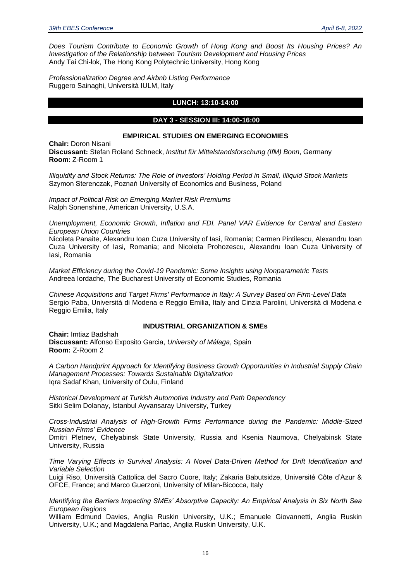*Does Tourism Contribute to Economic Growth of Hong Kong and Boost Its Housing Prices? An Investigation of the Relationship between Tourism Development and Housing Prices* Andy Tai Chi-lok, The Hong Kong Polytechnic University, Hong Kong

*Professionalization Degree and Airbnb Listing Performance* Ruggero Sainaghi, Università IULM, Italy

#### **LUNCH: 13:10-14:00**

#### **DAY 3 - SESSION III: 14:00-16:00**

#### **EMPIRICAL STUDIES ON EMERGING ECONOMIES**

**Chair:** Doron Nisani **Discussant:** Stefan Roland Schneck, *Institut für Mittelstandsforschung (IfM) Bonn*, Germany **Room:** Z-Room 1

*Illiquidity and Stock Returns: The Role of Investors' Holding Period in Small, Illiquid Stock Markets* Szymon Sterenczak, Poznań University of Economics and Business, Poland

*Impact of Political Risk on Emerging Market Risk Premiums* Ralph Sonenshine, American University, U.S.A.

*Unemployment, Economic Growth, Inflation and FDI. Panel VAR Evidence for Central and Eastern European Union Countries*

Nicoleta Panaite, Alexandru Ioan Cuza University of Iasi, Romania; Carmen Pintilescu, Alexandru Ioan Cuza University of Iasi, Romania; and Nicoleta Prohozescu, Alexandru Ioan Cuza University of Iasi, Romania

*Market Efficiency during the Covid-19 Pandemic: Some Insights using Nonparametric Tests* Andreea Iordache, The Bucharest University of Economic Studies, Romania

*Chinese Acquisitions and Target Firms' Performance in Italy: A Survey Based on Firm-Level Data* Sergio Paba, Università di Modena e Reggio Emilia, Italy and Cinzia Parolini, Università di Modena e Reggio Emilia, Italy

#### **INDUSTRIAL ORGANIZATION & SMEs**

**Chair:** Imtiaz Badshah **Discussant:** Alfonso Exposito Garcia, *University of Málaga*, Spain **Room:** Z-Room 2

*A Carbon Handprint Approach for Identifying Business Growth Opportunities in Industrial Supply Chain Management Processes: Towards Sustainable Digitalization* Iqra Sadaf Khan, University of Oulu, Finland

*Historical Development at Turkish Automotive Industry and Path Dependency* Sitki Selim Dolanay, Istanbul Ayvansaray University, Turkey

*Cross-Industrial Analysis of High-Growth Firms Performance during the Pandemic: Middle-Sized Russian Firms' Evidence* Dmitri Pletnev, Chelyabinsk State University, Russia and Ksenia Naumova, Chelyabinsk State

University, Russia

*Time Varying Effects in Survival Analysis: A Novel Data-Driven Method for Drift Identification and Variable Selection*

Luigi Riso, Università Cattolica del Sacro Cuore, Italy; Zakaria Babutsidze, Université Côte d'Azur & OFCE, France; and Marco Guerzoni, University of Milan-Bicocca, Italy

*Identifying the Barriers Impacting SMEs' Absorptive Capacity: An Empirical Analysis in Six North Sea European Regions*

William Edmund Davies, Anglia Ruskin University, U.K.; Emanuele Giovannetti, Anglia Ruskin University, U.K.; and Magdalena Partac, Anglia Ruskin University, U.K.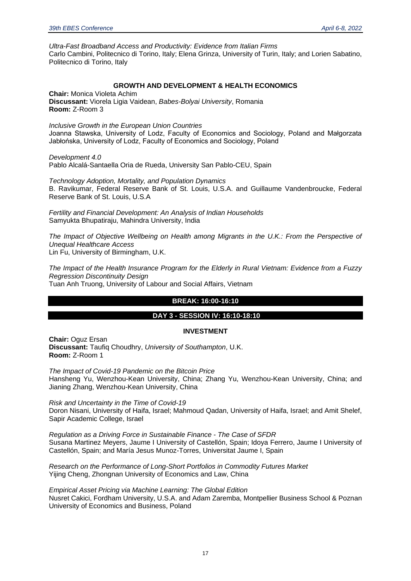*Ultra-Fast Broadband Access and Productivity: Evidence from Italian Firms* Carlo Cambini, Politecnico di Torino, Italy; Elena Grinza, University of Turin, Italy; and Lorien Sabatino, Politecnico di Torino, Italy

#### **GROWTH AND DEVELOPMENT & HEALTH ECONOMICS**

**Chair:** Monica Violeta Achim **Discussant:** Viorela Ligia Vaidean, *Babes-Bolyai University*, Romania **Room:** Z-Room 3

*Inclusive Growth in the European Union Countries* Joanna Stawska, University of Lodz, Faculty of Economics and Sociology, Poland and Małgorzata Jabłońska, University of Lodz, Faculty of Economics and Sociology, Poland

*Development 4.0* Pablo Alcalá-Santaella Oria de Rueda, University San Pablo-CEU, Spain

*Technology Adoption, Mortality, and Population Dynamics* B. Ravikumar, Federal Reserve Bank of St. Louis, U.S.A. and Guillaume Vandenbroucke, Federal Reserve Bank of St. Louis, U.S.A

*Fertility and Financial Development: An Analysis of Indian Households* Samyukta Bhupatiraju, Mahindra University, India

*The Impact of Objective Wellbeing on Health among Migrants in the U.K.: From the Perspective of Unequal Healthcare Access* Lin Fu, University of Birmingham, U.K.

*The Impact of the Health Insurance Program for the Elderly in Rural Vietnam: Evidence from a Fuzzy Regression Discontinuity Design*

Tuan Anh Truong, University of Labour and Social Affairs, Vietnam

#### **BREAK: 16:00-16:10**

#### **DAY 3 - SESSION IV: 16:10-18:10**

#### **INVESTMENT**

**Chair:** Oguz Ersan **Discussant:** Taufiq Choudhry, *University of Southampton*, U.K. **Room:** Z-Room 1

*The Impact of Covid-19 Pandemic on the Bitcoin Price* Hansheng Yu, Wenzhou-Kean University, China; Zhang Yu, Wenzhou-Kean University, China; and Jianing Zhang, Wenzhou-Kean University, China

*Risk and Uncertainty in the Time of Covid-19* Doron Nisani, University of Haifa, Israel; Mahmoud Qadan, University of Haifa, Israel; and Amit Shelef, Sapir Academic College, Israel

*Regulation as a Driving Force in Sustainable Finance - The Case of SFDR*  Susana Martinez Meyers, Jaume I University of Castellón, Spain; Idoya Ferrero, Jaume I University of Castellón, Spain; and María Jesus Munoz-Torres, Universitat Jaume I, Spain

*Research on the Performance of Long-Short Portfolios in Commodity Futures Market* Yijing Cheng, Zhongnan University of Economics and Law, China

*Empirical Asset Pricing via Machine Learning: The Global Edition* Nusret Cakici, Fordham University, U.S.A. and Adam Zaremba, Montpellier Business School & Poznan University of Economics and Business, Poland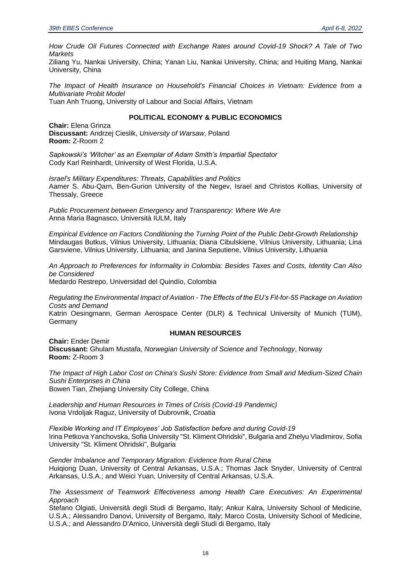*How Crude Oil Futures Connected with Exchange Rates around Covid-19 Shock? A Tale of Two Markets*

Ziliang Yu, Nankai University, China; Yanan Liu, Nankai University, China; and Huiting Mang, Nankai University, China

*The Impact of Health Insurance on Household's Financial Choices in Vietnam: Evidence from a Multivariate Probit Model*

Tuan Anh Truong, University of Labour and Social Affairs, Vietnam

#### **POLITICAL ECONOMY & PUBLIC ECONOMICS**

**Chair:** Elena Grinza **Discussant:** Andrzej Cieslik, *University of Warsaw*, Poland **Room:** Z-Room 2

*Sapkowski's 'Witcher' as an Exemplar of Adam Smith's Impartial Spectator* Cody Karl Reinhardt, University of West Florida, U.S.A.

*Israel's Military Expenditures: Threats, Capabilities and Politics* Aamer S. Abu-Qarn, Ben-Gurion University of the Negev, Israel and Christos Kollias, University of Thessaly, Greece

*Public Procurement between Emergency and Transparency: Where We Are*  Anna Maria Bagnasco, Università IULM, Italy

*Empirical Evidence on Factors Conditioning the Turning Point of the Public Debt-Growth Relationship* Mindaugas Butkus, Vilnius University, Lithuania; Diana Cibulskiene, Vilnius University, Lithuania; Lina Garsviene, Vilnius University, Lithuania; and Janina Seputiene, Vilnius University, Lithuania

*An Approach to Preferences for Informality in Colombia: Besides Taxes and Costs, Identity Can Also be Considered* Medardo Restrepo, Universidad del Quindío, Colombia

*Regulating the Environmental Impact of Aviation - The Effects of the EU's Fit-for-55 Package on Aviation Costs and Demand*

Katrin Oesingmann, German Aerospace Center (DLR) & Technical University of Munich (TUM), Germany

#### **HUMAN RESOURCES**

**Chair:** Ender Demir **Discussant:** Ghulam Mustafa, *Norwegian University of Science and Technology*, Norway **Room:** Z-Room 3

*The Impact of High Labor Cost on China's Sushi Store: Evidence from Small and Medium-Sized Chain Sushi Enterprises in China* Bowen Tian, Zhejiang University City College, China

*Leadership and Human Resources in Times of Crisis (Covid-19 Pandemic)* Ivona Vrdoljak Raguz, University of Dubrovnik, Croatia

*Flexible Working and IT Employees' Job Satisfaction before and during Covid-19* Irina Petkova Yanchovska, Sofia University "St. Kliment Ohridski", Bulgaria and Zhelyu Vladimirov, Sofia University "St. Kliment Ohridski", Bulgaria

*Gender Imbalance and Temporary Migration: Evidence from Rural China* Huiqiong Duan, University of Central Arkansas, U.S.A.; Thomas Jack Snyder, University of Central Arkansas, U.S.A.; and Weici Yuan, University of Central Arkansas, U.S.A.

*The Assessment of Teamwork Effectiveness among Health Care Executives: An Experimental Approach*

Stefano Olgiati, Università degli Studi di Bergamo, Italy; Ankur Kalra, University School of Medicine, U.S.A.; Alessandro Danovi, University of Bergamo, Italy; Marco Costa, University School of Medicine, U.S.A.; and Alessandro D'Amico, Università degli Studi di Bergamo, Italy